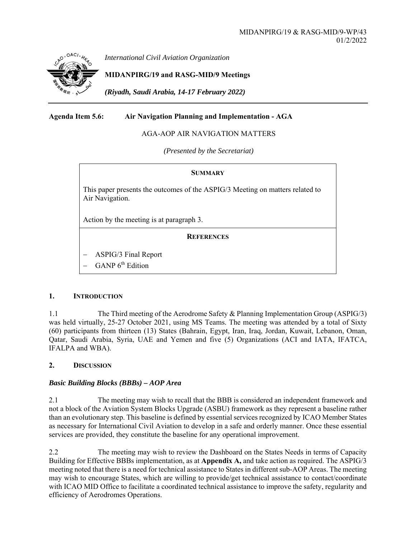

*International Civil Aviation Organization*

## **MIDANPIRG/19 and RASG-MID/9 Meetings**

*(Riyadh, Saudi Arabia, 14-17 February 2022)* 

**Agenda Item 5.6: Air Navigation Planning and Implementation - AGA** 

AGA-AOP AIR NAVIGATION MATTERS

*(Presented by the Secretariat)* 

#### **SUMMARY**

This paper presents the outcomes of the ASPIG/3 Meeting on matters related to Air Navigation.

Action by the meeting is at paragraph 3.

#### **REFERENCES**

- ASPIG/3 Final Report
- GANP 6<sup>th</sup> Edition

#### **1. INTRODUCTION**

1.1 The Third meeting of the Aerodrome Safety & Planning Implementation Group (ASPIG/3) was held virtually, 25-27 October 2021, using MS Teams. The meeting was attended by a total of Sixty (60) participants from thirteen (13) States (Bahrain, Egypt, Iran, Iraq, Jordan, Kuwait, Lebanon, Oman, Qatar, Saudi Arabia, Syria, UAE and Yemen and five (5) Organizations (ACI and IATA, IFATCA, IFALPA and WBA).

### **2. DISCUSSION**

### *Basic Building Blocks (BBBs) – AOP Area*

2.1 The meeting may wish to recall that the BBB is considered an independent framework and not a block of the Aviation System Blocks Upgrade (ASBU) framework as they represent a baseline rather than an evolutionary step. This baseline is defined by essential services recognized by ICAO Member States as necessary for International Civil Aviation to develop in a safe and orderly manner. Once these essential services are provided, they constitute the baseline for any operational improvement.

2.2 The meeting may wish to review the Dashboard on the States Needs in terms of Capacity Building for Effective BBBs implementation, as at **Appendix A,** and take action as required. The ASPIG/3 meeting noted that there is a need for technical assistance to States in different sub-AOP Areas. The meeting may wish to encourage States, which are willing to provide/get technical assistance to contact/coordinate with ICAO MID Office to facilitate a coordinated technical assistance to improve the safety, regularity and efficiency of Aerodromes Operations.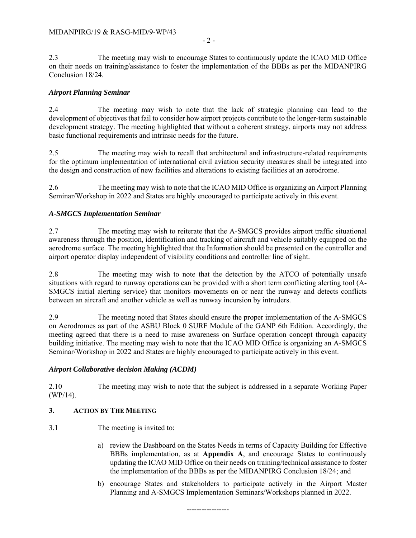2.3 The meeting may wish to encourage States to continuously update the ICAO MID Office on their needs on training/assistance to foster the implementation of the BBBs as per the MIDANPIRG Conclusion 18/24.

### *Airport Planning Seminar*

2.4 The meeting may wish to note that the lack of strategic planning can lead to the development of objectives that fail to consider how airport projects contribute to the longer-term sustainable development strategy. The meeting highlighted that without a coherent strategy, airports may not address basic functional requirements and intrinsic needs for the future.

2.5 The meeting may wish to recall that architectural and infrastructure-related requirements for the optimum implementation of international civil aviation security measures shall be integrated into the design and construction of new facilities and alterations to existing facilities at an aerodrome.

2.6 The meeting may wish to note that the ICAO MID Office is organizing an Airport Planning Seminar/Workshop in 2022 and States are highly encouraged to participate actively in this event.

## *A-SMGCS Implementation Seminar*

2.7 The meeting may wish to reiterate that the A-SMGCS provides airport traffic situational awareness through the position, identification and tracking of aircraft and vehicle suitably equipped on the aerodrome surface. The meeting highlighted that the Information should be presented on the controller and airport operator display independent of visibility conditions and controller line of sight.

2.8 The meeting may wish to note that the detection by the ATCO of potentially unsafe situations with regard to runway operations can be provided with a short term conflicting alerting tool (A-SMGCS initial alerting service) that monitors movements on or near the runway and detects conflicts between an aircraft and another vehicle as well as runway incursion by intruders.

2.9 The meeting noted that States should ensure the proper implementation of the A-SMGCS on Aerodromes as part of the ASBU Block 0 SURF Module of the GANP 6th Edition. Accordingly, the meeting agreed that there is a need to raise awareness on Surface operation concept through capacity building initiative. The meeting may wish to note that the ICAO MID Office is organizing an A-SMGCS Seminar/Workshop in 2022 and States are highly encouraged to participate actively in this event.

### *Airport Collaborative decision Making (ACDM)*

2.10 The meeting may wish to note that the subject is addressed in a separate Working Paper (WP/14).

# **3. ACTION BY THE MEETING**

- 3.1 The meeting is invited to:
	- a) review the Dashboard on the States Needs in terms of Capacity Building for Effective BBBs implementation, as at **Appendix A**, and encourage States to continuously updating the ICAO MID Office on their needs on training/technical assistance to foster the implementation of the BBBs as per the MIDANPIRG Conclusion 18/24; and
	- b) encourage States and stakeholders to participate actively in the Airport Master Planning and A-SMGCS Implementation Seminars/Workshops planned in 2022.

-----------------